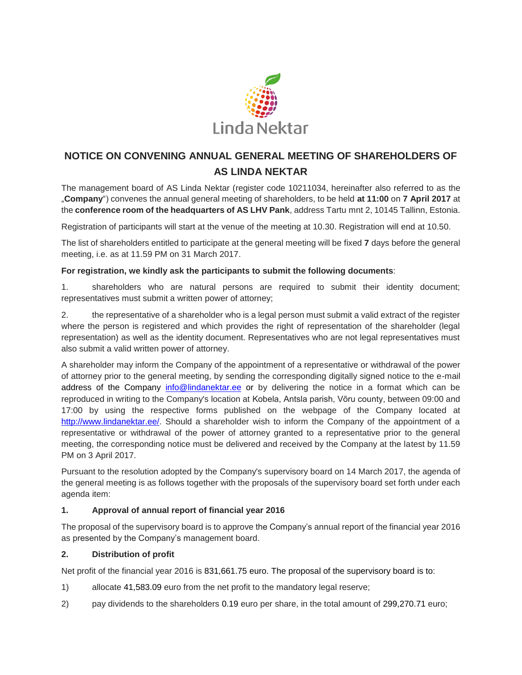

# **NOTICE ON CONVENING ANNUAL GENERAL MEETING OF SHAREHOLDERS OF AS LINDA NEKTAR**

The management board of AS Linda Nektar (register code 10211034, hereinafter also referred to as the "**Company**") convenes the annual general meeting of shareholders, to be held **at 11:00** on **7 April 2017** at the **conference room of the headquarters of AS LHV Pank**, address Tartu mnt 2, 10145 Tallinn, Estonia.

Registration of participants will start at the venue of the meeting at 10.30. Registration will end at 10.50.

The list of shareholders entitled to participate at the general meeting will be fixed **7** days before the general meeting, i.e. as at 11.59 PM on 31 March 2017.

**For registration, we kindly ask the participants to submit the following documents**:

1. shareholders who are natural persons are required to submit their identity document; representatives must submit a written power of attorney;

2. the representative of a shareholder who is a legal person must submit a valid extract of the register where the person is registered and which provides the right of representation of the shareholder (legal representation) as well as the identity document. Representatives who are not legal representatives must also submit a valid written power of attorney.

A shareholder may inform the Company of the appointment of a representative or withdrawal of the power of attorney prior to the general meeting, by sending the corresponding digitally signed notice to the e-mail address of the Company [info@lindanektar.ee](mailto:info@lindanektar.ee) or by delivering the notice in a format which can be reproduced in writing to the Company's location at Kobela, Antsla parish, Võru county, between 09:00 and 17:00 by using the respective forms published on the webpage of the Company located at [http://www.lindanektar.ee/.](http://www.lindanektar.ee/) Should a shareholder wish to inform the Company of the appointment of a representative or withdrawal of the power of attorney granted to a representative prior to the general meeting, the corresponding notice must be delivered and received by the Company at the latest by 11.59 PM on 3 April 2017.

Pursuant to the resolution adopted by the Company's supervisory board on 14 March 2017, the agenda of the general meeting is as follows together with the proposals of the supervisory board set forth under each agenda item:

## **1. Approval of annual report of financial year 2016**

The proposal of the supervisory board is to approve the Company's annual report of the financial year 2016 as presented by the Company's management board.

## **2. Distribution of profit**

Net profit of the financial year 2016 is 831,661.75 euro. The proposal of the supervisory board is to:

- 1) allocate 41,583.09 euro from the net profit to the mandatory legal reserve;
- 2) pay dividends to the shareholders 0.19 euro per share, in the total amount of 299,270.71 euro;